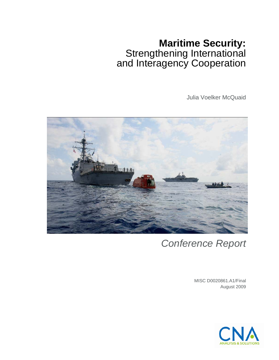# **Maritime Security:**  Strengthening International and Interagency Cooperation

Julia Voelker McQuaid



# *Conference Report*

MISC D0020861.A1/Final August 2009

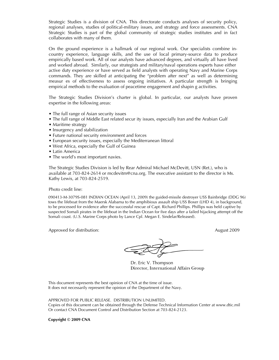Strategic Studies is a division of CNA. This directorate conducts analyses of security policy, regional analyses, studies of political-military issues, and strategy and force assessments. CNA Strategic Studies is part of the global community of strategic studies institutes and in fact collaborates with many of them.

On the ground experience is a hallmark of our regional work. Our specialists combine incountry experience, language skills, and the use of local primary-source data to produce empirically based work. All of our analysts have advanced degrees, and virtually all have lived and worked abroad. Similarly, our strategists and military/naval operations experts have either active duty experience or have served as field analysts with operating Navy and Marine Corps commands. They are skilled at anticipating the "problem after next" as well as determining measur es of effectiveness to assess ongoing initiatives. A particular strength is bringing empirical methods to the evaluation of peacetime engagement and shapin g activities.

The Strategic Studies Division's charter is global. In particular, our analysts have proven expertise in the following areas:

- The full range of Asian security issues
- The full range of Middle East related secur ity issues, especially Iran and the Arabian Gulf
- Maritime strategy
- Insurgency and stabilization
- Future national security environment and forces
- European security issues, especially the Mediterranean littoral
- West Africa, especially the Gulf of Guinea
- Latin America
- The world's most important navies.

The Strategic Studies Division is led by Rear Admiral Michael McDevitt, USN (Ret.), who is available at 703-824-2614 or mcdevitm@cna.org. The executive assistant to the director is Ms. Kathy Lewis, at 703-824-2519.

Photo credit line:

090413-M-3079S-081 INDIAN OCEAN (April 13, 2009) the guided-missile destroyer USS Bainbridge (DDG 96) tows the lifeboat from the Maersk Alabama to the amphibious assault ship USS Boxer (LHD 4), in background, to be processed for evidence after the successful rescue of Capt. Richard Phillips. Phillips was held captive by suspected Somali pirates in the lifeboat in the Indian Ocean for five days after a failed hijacking attempt off the Somali coast. (U.S. Marine Corps photo by Lance Cpl. Megan E. Sindelar/Released).

Approved for distribution: August 2009 August 2009

Dr. Eric V. Thompson Director, International Affairs Group

This document represents the best opinion of CNA at the time of issue. It does not necessarily represent the opinion of the Department of the Navy.

APPROVED FOR PUBLIC RELEASE. DISTRIBUTION UNLIMITED. Copies of this document can be obtained through the Defense Technical Information Center at www.dtic.mil Or contact CNA Document Control and Distribution Section at 703-824-2123.

**Copyright © 2009 CNA**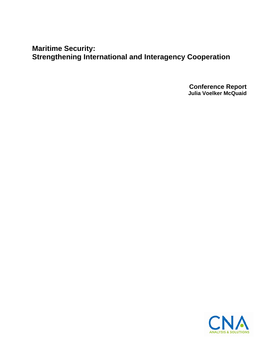**Maritime Security: Strengthening International and Interagency Cooperation** 

> **Conference Report Julia Voelker McQuaid**

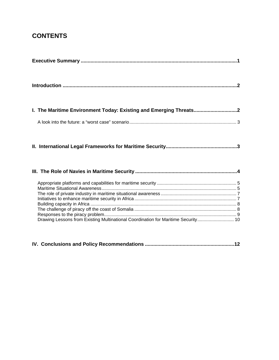## **CONTENTS**

| I. The Maritime Environment Today: Existing and Emerging Threats2                 |
|-----------------------------------------------------------------------------------|
|                                                                                   |
|                                                                                   |
|                                                                                   |
| Drawing Lessons from Existing Multinational Coordination for Maritime Security 10 |

|--|--|--|--|--|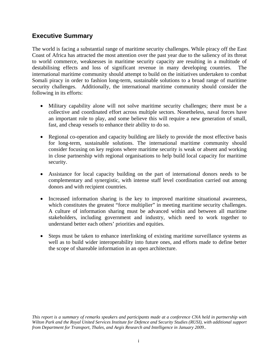## **Executive Summary**

The world is facing a substantial range of maritime security challenges. While piracy off the East Coast of Africa has attracted the most attention over the past year due to the saliency of its threat to world commerce, weaknesses in maritime security capacity are resulting in a multitude of destabilising effects and loss of significant revenue in many developing countries. The international maritime community should attempt to build on the initiatives undertaken to combat Somali piracy in order to fashion long-term, sustainable solutions to a broad range of maritime security challenges. Additionally, the international maritime community should consider the following in its efforts:

- Military capability alone will not solve maritime security challenges; there must be a collective and coordinated effort across multiple sectors. Nonetheless, naval forces have an important role to play, and some believe this will require a new generation of small, fast, and cheap vessels to enhance their ability to do so.
- Regional co-operation and capacity building are likely to provide the most effective basis for long-term, sustainable solutions. The international maritime community should consider focusing on key regions where maritime security is weak or absent and working in close partnership with regional organisations to help build local capacity for maritime security.
- Assistance for local capacity building on the part of international donors needs to be complementary and synergistic, with intense staff level coordination carried out among donors and with recipient countries.
- Increased information sharing is the key to improved maritime situational awareness, which constitutes the greatest "force multiplier" in meeting maritime security challenges. A culture of information sharing must be advanced within and between all maritime stakeholders, including government and industry, which need to work together to understand better each others' priorities and equities.
- Steps must be taken to enhance interlinking of existing maritime surveillance systems as well as to build wider interoperability into future ones, and efforts made to define better the scope of shareable information in an open architecture.

*This report is a summary of remarks speakers and participants made at a conference CNA held in partnership with Wilton Park and the Royal United Services Institute for Defence and Security Studies (RUSI), with additional support from Department for Transport, Thales, and Aegis Research and Intelligence in January 2009.*.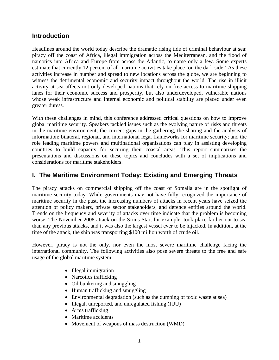#### **Introduction**

Headlines around the world today describe the dramatic rising tide of criminal behaviour at sea: piracy off the coast of Africa, illegal immigration across the Mediterranean, and the flood of narcotics into Africa and Europe from across the Atlantic, to name only a few. Some experts estimate that currently 12 percent of all maritime activities take place 'on the dark side.' As these activities increase in number and spread to new locations across the globe, we are beginning to witness the detrimental economic and security impact throughout the world. The rise in illicit activity at sea affects not only developed nations that rely on free access to maritime shipping lanes for their economic success and prosperity, but also underdeveloped, vulnerable nations whose weak infrastructure and internal economic and political stability are placed under even greater duress.

With these challenges in mind, this conference addressed critical questions on how to improve global maritime security. Speakers tackled issues such as the evolving nature of risks and threats in the maritime environment; the current gaps in the gathering, the sharing and the analysis of information; bilateral, regional, and international legal frameworks for maritime security; and the role leading maritime powers and multinational organisations can play in assisting developing countries to build capacity for securing their coastal areas. This report summarizes the presentations and discussions on these topics and concludes with a set of implications and considerations for maritime stakeholders.

#### **I. The Maritime Environment Today: Existing and Emerging Threats**

The piracy attacks on commercial shipping off the coast of Somalia are in the spotlight of maritime security today. While governments may not have fully recognized the importance of maritime security in the past, the increasing numbers of attacks in recent years have seized the attention of policy makers, private sector stakeholders, and defence entities around the world. Trends on the frequency and severity of attacks over time indicate that the problem is becoming worse. The November 2008 attack on the Sirius Star, for example, took place farther out to sea than any previous attacks, and it was also the largest vessel ever to be hijacked. In addition, at the time of the attack, the ship was transporting \$100 million worth of crude oil.

However, piracy is not the only, nor even the most severe maritime challenge facing the international community. The following activities also pose severe threats to the free and safe usage of the global maritime system:

- Illegal immigration
- Narcotics trafficking
- Oil bunkering and smuggling
- Human trafficking and smuggling
- Environmental degradation (such as the dumping of toxic waste at sea)
- Illegal, unreported, and unregulated fishing (IUU)
- Arms trafficking
- Maritime accidents
- Movement of weapons of mass destruction (WMD)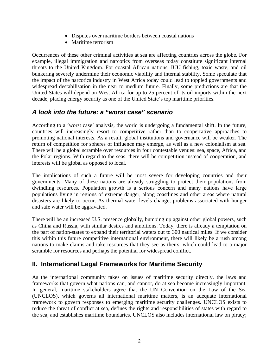- Disputes over maritime borders between coastal nations
- Maritime terrorism

Occurrences of these other criminal activities at sea are affecting countries across the globe. For example, illegal immigration and narcotics from overseas today constitute significant internal threats to the United Kingdom. For coastal African nations, IUU fishing, toxic waste, and oil bunkering severely undermine their economic viability and internal stability. Some speculate that the impact of the narcotics industry in West Africa today could lead to toppled governments and widespread destabilisation in the near to medium future. Finally, some predictions are that the United States will depend on West Africa for up to 25 percent of its oil imports within the next decade, placing energy security as one of the United State's top maritime priorities.

## *A look into the future: a "worst case" scenario*

According to a 'worst case' analysis, the world is undergoing a fundamental shift. In the future, countries will increasingly resort to competitive rather than to cooperrative approaches to promoting national interests. As a result, global institutions and governance will be weaker. The return of competition for spheres of influence may emerge, as well as a new colonialism at sea. There will be a global scramble over resources in four contestable venues: sea, space, Africa, and the Polar regions. With regard to the seas, there will be competition instead of cooperation, and interests will be global as opposed to local.

The implications of such a future will be most severe for developing countries and their governments. Many of these nations are already struggling to protect their populations from dwindling resources. Population growth is a serious concern and many nations have large populations living in regions of extreme danger, along coastlines and other areas where natural disasters are likely to occur. As thermal water levels change, problems associated with hunger and safe water will be aggravated.

There will be an increased U.S. presence globally, bumping up against other global powers, such as China and Russia, with similar desires and ambitions. Today, there is already a temptation on the part of nation-states to expand their territorial waters out to 300 nautical miles. If we consider this within this future competitive international environment, there will likely be a rush among nations to make claims and take resources that they see as theirs, which could lead to a major scramble for resources and perhaps the potential for widespread conflict.

## **II. International Legal Frameworks for Maritime Security**

As the international community takes on issues of maritime security directly, the laws and frameworks that govern what nations can, and cannot, do at sea become increasingly important. In general, maritime stakeholders agree that the UN Convention on the Law of the Sea (UNCLOS), which governs all international maritime matters, is an adequate international framework to govern responses to emerging maritime security challenges. UNCLOS exists to reduce the threat of conflict at sea, defines the rights and responsibilities of states with regard to the sea, and establishes maritime boundaries. UNCLOS also includes international law on piracy;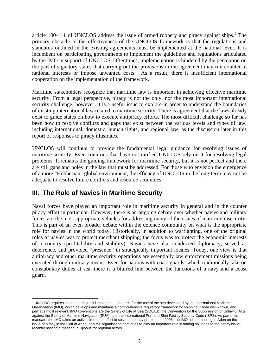article 100-111 of UNCLOS address the issue of armed robbery and piracy against ships.<sup>1</sup> The primary obstacle to the effectiveness of the UNCLOS framework is that the regulations and standards outlined in the existing agreements must be implemented at the national level. It is incumbent on participating governments to implement the guidelines and regulations articulated by the IMO in support of UNCLOS. Oftentimes, implementation is hindered by the perception on the part of signatory states that carrying out the provisions in the agreement may run counter to national interests or impose unwanted costs. As a result, there is insufficient international cooperation on the implementation of the framework.

Maritime stakeholders recognize that maritime law is important in achieving effective maritime security. From a legal perspective, piracy is not the only, nor the most important international security challenge; however, it is a useful issue to explore in order to understand the boundaries of existing international law related to maritime security. There is agreement that the laws already exist to guide states on how to execute antipiracy efforts. The most difficult challenge so far has been how to resolve conflicts and gaps that exist between the various levels and types of law, including international, domestic, human rights, and regional law, as the discussion later in this report of responses to piracy illustrates.

UNCLOS will continue to provide the fundamental legal guidance for resolving issues of maritime security. Even countries that have not ratified UNCLOS rely on it for resolving legal problems. It remains the guiding framework for maritime security, but it is not perfect and there are still gaps and holes in the law that must be addressed. For those who envision the emergence of a more "Hobbesian" global environment, the efficacy of UNCLOS in the long-term may not be adequate to resolve future conflicts and resource scrambles.

### **III. The Role of Navies in Maritime Security**

Naval forces have played an important role in maritime security in general and in the counter piracy effort in particular. However, there is an ongoing debate over whether navies and military forces are the most appropriate vehicles for addressing many of the issues of maritime insecurity. This is part of an even broader debate within the defence community on what is the appropriate role for navies in the world today. Historically, in addition to warfighting, one of the original roles of navies was to protect merchant shipping; the focus was to protect the economic interests of a country (profitability and stability). Navies have also conducted diplomacy, served as deterrence, and provided "presence" in strategically important locales. Today, one view is that antipiracy and other maritime security operations are essentially law enforcement missions being executed through military means. Even for nations with coast guards, which traditionally take on constabulary duties at sea, there is a blurred line between the functions of a navy and a coast guard.

l 1 UNCLOS requires states to adopt and implement standards for the use of the sea developed by the International Maritime Organisation (IMO), which develops and maintains a comprehensive regulatory framework for shipping. Three well-known, and perhaps most relevant, IMO conventions are the Safety of Life at Sea (SOLAS), the Convention for the Suppression of Unlawful Acts against the Safety of Maritime Navigation (SUA), and the International Port and Ship Facility Security Code (ISPS). As part of its mandate, the IMO takes an active role in the effort to solve the piracy problem. In 2005, the IMO held a meeting in Aden on the issue of piracy in the Gulf of Aden, and the organisation continues to play an important role in finding solutions to the piracy issue, recently hosting a meeting in Djibouti for regional actors.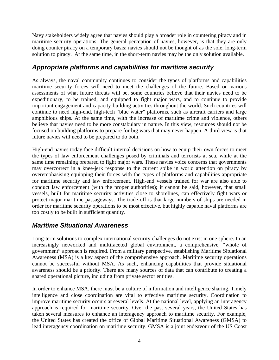Navy stakeholders widely agree that navies should play a broader role in countering piracy and in maritime security operations. The general perception of navies, however, is that they are only doing counter piracy on a temporary basis: navies should not be thought of as the sole, long-term solution to piracy. At the same time, in the short-term navies may be the only solution available.

#### *Appropriate platforms and capabilities for maritime security*

As always, the naval community continues to consider the types of platforms and capabilities maritime security forces will need to meet the challenges of the future. Based on various assessments of what future threats will be, some countries believe that their navies need to be expeditionary, to be trained, and equipped to fight major wars, and to continue to provide important engagement and capacity-building activities throughout the world. Such countries will continue to need high-end, high-tech "blue water" platforms, such as aircraft carriers and large amphibious ships. At the same time, with the increase of maritime crime and violence, others believe that navies need to be more constabulary in nature. In this view, resources should not be focused on building platforms to prepare for big wars that may never happen. A third view is that future navies will need to be prepared to do both.

High-end navies today face difficult internal decisions on how to equip their own forces to meet the types of law enforcement challenges posed by criminals and terrorists at sea, while at the same time remaining prepared to fight major wars. These navies voice concerns that governments may overcorrect in a knee-jerk response to the current spike in world attention on piracy by overemphasising equipping their forces with the types of platforms and capabilities appropriate for maritime security and law enforcement. High-end vessels trained for war are also able to conduct law enforcement (with the proper authorities); it cannot be said, however, that small vessels, built for maritime security activities close to shorelines, can effectively fight wars or protect major maritime passageways. The trade-off is that large numbers of ships are needed in order for maritime security operations to be most effective, but highly capable naval platforms are too costly to be built in sufficient quantity.

#### *Maritime Situational Awareness*

Long-term solutions to complex international security challenges do not exist in one sphere. In an increasingly networked and multifaceted global environment, a comprehensive, "whole of government" approach is required. From a military perspective, establishing Maritime Situational Awareness (MSA) is a key aspect of the comprehensive approach. Maritime security operations cannot be successful without MSA. As such, enhancing capabilities that provide situational awareness should be a priority. There are many sources of data that can contribute to creating a shared operational picture, including from private sector entities.

In order to enhance MSA, there must be a culture of information and intelligence sharing. Timely intelligence and close coordination are vital to effective maritime security. Coordination to improve maritime security occurs at several levels. At the national level, applying an interagency approach is required for maritime security. Over the past several years, the United States has taken several measures to enhance an interagency approach to maritime security. For example, the United States has created the office of Global Maritime Situational Awareness (GMSA) to lead interagency coordination on maritime security. GMSA is a joint endeavour of the US Coast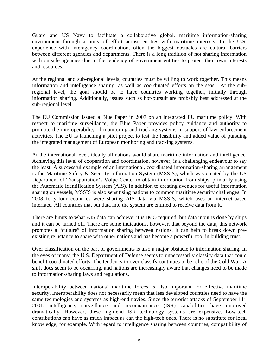Guard and US Navy to facilitate a collaborative global, maritime information-sharing environment through a unity of effort across entities with maritime interests. In the U.S. experience with interagency coordination, often the biggest obstacles are cultural barriers between different agencies and departments. There is a long tradition of not sharing information with outside agencies due to the tendency of government entities to protect their own interests and resources.

At the regional and sub-regional levels, countries must be willing to work together. This means information and intelligence sharing, as well as coordinated efforts on the seas. At the subregional level, the goal should be to have countries working together, initially through information sharing. Additionally, issues such as hot-pursuit are probably best addressed at the sub-regional level.

The EU Commission issued a Blue Paper in 2007 on an integrated EU maritime policy. With respect to maritime surveillance, the Blue Paper provides policy guidance and authority to promote the interoperability of monitoring and tracking systems in support of law enforcement activities. The EU is launching a pilot project to test the feasibility and added value of pursuing the integrated management of European monitoring and tracking systems.

At the international level, ideally all nations would share maritime information and intelligence. Achieving this level of cooperation and coordination, however, is a challenging endeavour to say the least. A successful example of an international, coordinated information-sharing arrangement is the Maritime Safety & Security Information System (MSSIS), which was created by the US Department of Transportation's Volpe Center to obtain information from ships, primarily using the Automatic Identification System (AIS). In addition to creating avenues for useful information sharing on vessels, MSSIS is also sensitising nations to common maritime security challenges. In 2008 forty-four countries were sharing AIS data via MSSIS, which uses an internet-based interface. All countries that put data into the system are entitled to receive data from it.

There are limits to what AIS data can achieve; it is IMO required, but data input is done by ships and it can be turned off. There are some indications, however, that beyond the data, this network promotes a "culture" of information sharing between nations. It can help to break down preexisting reluctance to share with other nations and has become a powerful tool in building trust.

Over classification on the part of governments is also a major obstacle to information sharing. In the eyes of many, the U.S. Department of Defense seems to unnecessarily classify data that could benefit coordinated efforts. The tendency to over classify continues to be relic of the Cold War. A shift does seem to be occurring, and nations are increasingly aware that changes need to be made to information-sharing laws and regulations.

Interoperability between nations' maritime forces is also important for effective maritime security. Interoperability does not necessarily mean that less developed countries need to have the same technologies and systems as high-end navies. Since the terrorist attacks of September  $11<sup>th</sup>$ 2001, intelligence, surveillance and reconnaissance (ISR) capabilities have improved dramatically. However, these high-end ISR technology systems are expensive. Low-tech contributions can have as much impact as can the high-tech ones. There is no substitute for local knowledge, for example. With regard to intelligence sharing between countries, compatibility of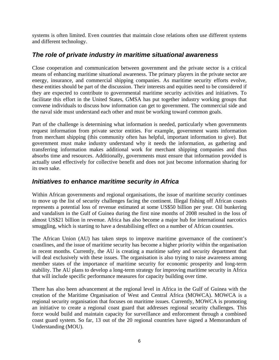systems is often limited. Even countries that maintain close relations often use different systems and different technology.

#### *The role of private industry in maritime situational awareness*

Close cooperation and communication between government and the private sector is a critical means of enhancing maritime situational awareness. The primary players in the private sector are energy, insurance, and commercial shipping companies. As maritime security efforts evolve, these entities should be part of the discussion. Their interests and equities need to be considered if they are expected to contribute to governmental maritime security activities and initiatives. To facilitate this effort in the United States, GMSA has put together industry working groups that convene individuals to discuss how information can get to government. The commercial side and the naval side must understand each other and must be working toward common goals.

Part of the challenge is determining what information is needed, particularly when governments request information from private sector entities. For example, government wants information from merchant shipping (this community often has helpful, important information to give). But government must make industry understand why it needs the information, as gathering and transferring information makes additional work for merchant shipping companies and thus absorbs time and resources. Additionally, governments must ensure that information provided is actually used effectively for collective benefit and does not just become information sharing for its own sake.

#### *Initiatives to enhance maritime security in Africa*

Within African governments and regional organisations, the issue of maritime security continues to move up the list of security challenges facing the continent. Illegal fishing off African coasts represents a potential loss of revenue estimated at some US\$50 billion per year. Oil bunkering and vandalism in the Gulf of Guinea during the first nine months of 2008 resulted in the loss of almost US\$21 billion in revenue. Africa has also become a major hub for international narcotics smuggling, which is starting to have a destabilising effect on a number of African countries.

The African Union (AU) has taken steps to improve maritime governance of the continent's coastlines, and the issue of maritime security has become a higher priority within the organisation in recent months. Currently, the AU is creating a maritime safety and security department that will deal exclusively with these issues. The organisation is also trying to raise awareness among member states of the importance of maritime security for economic prosperity and long-term stability. The AU plans to develop a long-term strategy for improving maritime security in Africa that will include specific performance measures for capacity building over time.

There has also been advancement at the regional level in Africa in the Gulf of Guinea with the creation of the Maritime Organisation of West and Central Africa (MOWCA). MOWCA is a regional security organisation that focuses on maritime issues. Currently, MOWCA is promoting an initiative to create a regional coast guard that addresses regional security challenges. This force would build and maintain capacity for surveillance and enforcement through a combined coast guard system. So far, 13 out of the 20 regional countries have signed a Memorandum of Understanding (MOU).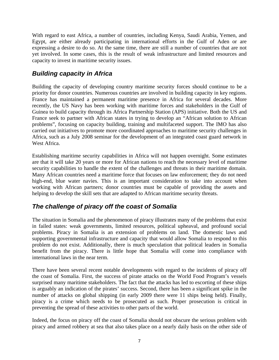With regard to east Africa, a number of countries, including Kenya, Saudi Arabia, Yemen, and Egypt, are either already participating in international efforts in the Gulf of Aden or are expressing a desire to do so. At the same time, there are still a number of countries that are not yet involved. In some cases, this is the result of weak infrastructure and limited resources and capacity to invest in maritime security issues.

## *Building capacity in Africa*

Building the capacity of developing country maritime security forces should continue to be a priority for donor countries. Numerous countries are involved in building capacity in key regions. France has maintained a permanent maritime presence in Africa for several decades. More recently, the US Navy has been working with maritime forces and stakeholders in the Gulf of Guinea to build capacity through its Africa Partnership Station (APS) initiative. Both the US and France seek to partner with African states in trying to develop an "African solution to African problems", focusing on capacity building, training and multifaceted support. The IMO has also carried out initiatives to promote more coordinated approaches to maritime security challenges in Africa, such as a July 2008 seminar for the development of an integrated coast guard network in West Africa.

Establishing maritime security capabilities in Africa will not happen overnight. Some estimates are that it will take 20 years or more for African nations to reach the necessary level of maritime security capabilities to handle the extent of the challenges and threats in their maritime domain. Many African countries need a maritime force that focuses on law enforcement; they do not need high-end, blue water navies. This is an important consideration to take into account when working with African partners; donor countries must be capable of providing the assets and helping to develop the skill sets that are adapted to African maritime security threats.

### *The challenge of piracy off the coast of Somalia*

The situation in Somalia and the phenomenon of piracy illustrates many of the problems that exist in failed states: weak governments, limited resources, political upheaval, and profound social problems. Piracy in Somalia is an extension of problems on land. The domestic laws and supporting governmental infrastructure and capacity that would allow Somalia to respond to this problem do not exist. Additionally, there is much speculation that political leaders in Somalia benefit from the piracy. There is little hope that Somalia will come into compliance with international laws in the near term.

There have been several recent notable developments with regard to the incidents of piracy off the coast of Somalia. First, the success of pirate attacks on the World Food Program's vessels surprised many maritime stakeholders. The fact that the attacks has led to escorting of these ships is arguably an indication of the pirates' success. Second, there has been a significant spike in the number of attacks on global shipping (in early 2009 there were 11 ships being held). Finally, piracy is a crime which needs to be prosecuted as such. Proper prosecution is critical in preventing the spread of these activities to other parts of the world.

Indeed, the focus on piracy off the coast of Somalia should not obscure the serious problem with piracy and armed robbery at sea that also takes place on a nearly daily basis on the other side of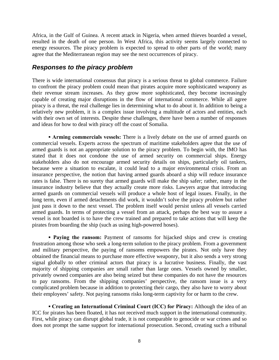Africa, in the Gulf of Guinea. A recent attack in Nigeria, when armed thieves boarded a vessel, resulted in the death of one person. In West Africa, this activity seems largely connected to energy resources. The piracy problem is expected to spread to other parts of the world; many agree that the Mediterranean region may see the next occurrences of piracy.

#### *Responses to the piracy problem*

There is wide international consensus that piracy is a serious threat to global commerce. Failure to confront the piracy problem could mean that pirates acquire more sophisticated weaponry as their revenue stream increases. As they grow more sophisticated, they become increasingly capable of creating major disruptions in the flow of international commerce. While all agree piracy is a threat, the real challenge lies in determining what to do about it. In addition to being a relatively new problem, it is a complex issue involving a multitude of actors and entities, each with their own set of interests. Despite these challenges, there have been a number of responses and ideas for how to deal with piracy off the coast of Somalia.

**<u><b>Example 20 arming commercials vessels:**</u> There is a lively debate on the use of armed guards on  $\blacksquare$ commercial vessels. Experts across the spectrum of maritime stakeholders agree that the use of armed guards is not an appropriate solution to the piracy problem. To begin with, the IMO has stated that it does not condone the use of armed security on commercial ships. Energy stakeholders also do not encourage armed security details on ships, particularly oil tankers, because were a situation to escalate, it could lead to a major environmental crisis. From an insurance perspective, the notion that having armed guards aboard a ship will reduce insurance rates is false. There is no surety that armed guards will make the ship safer; rather, many in the insurance industry believe that they actually create more risks. Lawyers argue that introducing armed guards on commercial vessels will produce a whole host of legal issues. Finally, in the long term, even if armed detachments did work, it wouldn't solve the piracy *problem* but rather just pass it down to the next vessel. The problem itself would persist unless all vessels carried armed guards. In terms of protecting a vessel from an attack, perhaps the best way to assure a vessel is not boarded is to have the crew trained and prepared to take actions that will keep the pirates from boarding the ship (such as using high-powered hoses).

**• Paying the ransom:** Payment of ransoms for hijacked ships and crew is creating frustration among those who seek a long-term solution to the piracy problem. From a government and military perspective, the paying of ransoms empowers the pirates. Not only have they obtained the financial means to purchase more effective weaponry, but it also sends a very strong signal globally to other criminal actors that piracy is a lucrative business*.* Finally, the vast majority of shipping companies are small rather than large ones. Vessels owned by smaller, privately owned companies are also being seized but these companies do not have the resources to pay ransoms. From the shipping companies' perspective, the ransom issue is a very complicated problem because in addition to protecting their cargo, they also have to worry about their employees' safety. Not paying ransoms risks long-term captivity for or harm to the crew.

**▪ Creating an International Criminal Court (ICC) for Piracy:** Although the idea of an ICC for pirates has been floated, it has not received much support in the international community. First, while piracy can disrupt global trade, it is not comparable to genocide or war crimes and so does not prompt the same support for international prosecution. Second, creating such a tribunal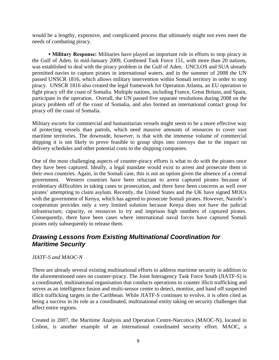would be a lengthy, expensive, and complicated process that ultimately might not even meet the needs of combating piracy.

**• Military Response:** Militaries have played an important role in efforts to stop piracy in the Gulf of Aden. In mid-January 2009, Combined Task Force 151, with more than 20 nations, was established to deal with the piracy problem in the Gulf of Aden. UNCLOS and SUA already permitted navies to capture pirates in international waters, and in the summer of 2008 the UN passed UNSCR 1816, which allows military intervention within Somali territory in order to stop piracy. UNSCR 1816 also created the legal framework for Operation Atlanta, an EU operation to fight piracy off the coast of Somalia. Multiple nations, including France, Great Britain, and Spain, participate in the operation. Overall, the UN passed five separate resolutions during 2008 on the piracy problem off of the coast of Somalia, and also formed an international contact group for piracy off the coast of Somalia.

Military escorts for commercial and humanitarian vessels might seem to be a more effective way of protecting vessels than patrols, which need massive amounts of resources to cover vast maritime territories. The downside, however, is that with the immense volume of commercial shipping it is not likely to prove feasible to group ships into convoys due to the impact on delivery schedules and other potential costs to the shipping companies.

One of the most challenging aspects of counter-piracy efforts is what to do with the pirates once they have been captured. Ideally, a legal mandate would exist to arrest and prosecute them in their own countries. Again, in the Somali case, this is not an option given the absence of a central government. Western countries have been reluctant to arrest captured pirates because of evidentiary difficulties in taking cases to prosecution, and there have been concerns as well over pirates' attempting to claim asylum. Recently, the United States and the UK have signed MOUs with the government of Kenya, which has agreed to prosecute Somali pirates. However, Nairobi's cooperation provides only a very limited solution because Kenya does not have the judicial infrastructure, capacity, or resources to try and imprison high numbers of captured pirates. Consequently, there have been cases where international naval forces have captured Somali pirates only subsequently to release them.

## *Drawing Lessons from Existing Multinational Coordination for Maritime Security*

*JIATF-S and MAOC-N* 

There are already several existing multinational efforts to address maritime security in addition to the aforementioned ones on counter-piracy. The Joint Interagency Task Force South (JIATF-S) is a coordinated, multinational organisation that conducts operations to counter illicit trafficking and serves as an intelligence fusion and multi-sensor centre to detect, monitor, and hand off suspected illicit trafficking targets in the Caribbean. While JIATF-S continues to evolve, it is often cited as being a success in its role as a coordinated, multinational entity taking on security challenges that affect entire regions.

Created in 2007, the Maritime Analysis and Operation Centre-Narcotics (MAOC-N), located in Lisbon, is another example of an international coordinated security effort. MAOC, a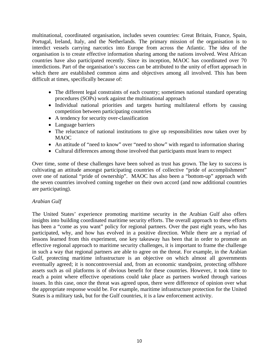multinational, coordinated organisation, includes seven countries: Great Britain, France, Spain, Portugal, Ireland, Italy, and the Netherlands. The primary mission of the organisation is to interdict vessels carrying narcotics into Europe from across the Atlantic. The idea of the organisation is to create effective information sharing among the nations involved. West African countries have also participated recently. Since its inception, MAOC has coordinated over 70 interdictions. Part of the organisation's success can be attributed to the unity of effort approach in which there are established common aims and objectives among all involved. This has been difficult at times, specifically because of:

- The different legal constraints of each country; sometimes national standard operating procedures (SOPs) work against the multinational approach
- Individual national priorities and targets hurting multilateral efforts by causing competition between participating countries
- A tendency for security over-classification
- Language barriers
- The reluctance of national institutions to give up responsibilities now taken over by MAOC
- An attitude of "need to know" over "need to show" with regard to information sharing
- Cultural differences among those involved that participants must learn to respect

Over time, some of these challenges have been solved as trust has grown. The key to success is cultivating an attitude amongst participating countries of collective "pride of accomplishment" over one of national "pride of ownership". MAOC has also been a "bottom-up" approach with the seven countries involved coming together on their own accord (and now additional countries are participating).

#### *Arabian Gulf*

The United States' experience promoting maritime security in the Arabian Gulf also offers insights into building coordinated maritime security efforts. The overall approach to these efforts has been a "come as you want" policy for regional partners. Over the past eight years, who has participated, why, and how has evolved in a positive direction. While there are a myriad of lessons learned from this experiment, one key takeaway has been that in order to promote an effective regional approach to maritime security challenges, it is important to frame the challenge in such a way that regional partners are able to agree on the threat. For example, in the Arabian Gulf, protecting maritime infrastructure is an objective on which almost all governments eventually agreed; it is noncontroversial and, from an economic standpoint, protecting offshore assets such as oil platforms is of obvious benefit for these countries. However, it took time to reach a point where effective operations could take place as partners worked through various issues. In this case, once the threat was agreed upon, there were difference of opinion over what the appropriate response would be. For example, maritime infrastructure protection for the United States is a military task, but for the Gulf countries, it is a law enforcement activity.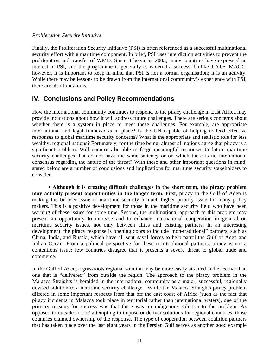#### *Proliferation Security Initiative*

Finally, the Proliferation Security Initiative (PSI) is often referenced as a successful multinational security effort with a maritime component. In brief, PSI uses interdiction activities to prevent the proliferation and transfer of WMD. Since it began in 2003, many countries have expressed an interest in PSI, and the programme is generally considered a success. Unlike JIATF, MAOC, however, it is important to keep in mind that PSI is not a formal organisation; it is an activity. While there may be lessons to be drawn from the international community's experience with PSI, there are also limitations.

#### **IV. Conclusions and Policy Recommendations**

How the international community continues to respond to the piracy challenge in East Africa may provide indications about how it will address future challenges. There are serious concerns about whether there is a system in place to meet these challenges. For example, are appropriate international and legal frameworks in place? Is the UN capable of helping to lead effective responses to global maritime security concerns? What is the appropriate and realistic role for less wealthy, regional nations? Fortunately, for the time being, almost all nations agree that piracy is a significant problem. Will countries be able to forge meaningful responses to future maritime security challenges that do not have the same saliency or on which there is no international consensus regarding the nature of the threat? With these and other important questions in mind, stated below are a number of conclusions and implications for maritime security stakeholders to consider.

**▪ Although it is creating difficult challenges in the short term, the piracy problem may actually present opportunities in the longer term.** First, piracy in the Gulf of Aden is making the broader issue of maritime security a much higher priority issue for many policy makers. This is a positive development for those in the maritime security field who have been warning of these issues for some time. Second, the multinational approach to this problem may present an opportunity to increase and to enhance international cooperation in general on maritime security issues, not only between allies and existing partners. In an interesting development, the piracy response is opening doors to include "non-traditional" partners, such as China, India, and Russia, which have all sent naval forces to help patrol the Gulf of Aden and Indian Ocean. From a political perspective for these non-traditional partners, piracy is not a contentions issue; few countries disagree that it presents a severe threat to global trade and commerce.

In the Gulf of Aden, a grassroots regional solution may be more easily attained and effective than one that is "delivered" from outside the region. The approach to the piracy problem in the Malacca Straights is heralded in the international community as a major, successful, regionally devised solution to a maritime security challenge. While the Malacca Straights piracy problem differed in some important respects from that off the east coast of Africa (such as the fact that piracy incidents in Malacca took place in territorial rather than international waters), one of the primary reasons for success was that there was an indigenous solution to the problem. As opposed to outside actors' attempting to impose or deliver solutions for regional countries, those countries claimed ownership of the response. The type of cooperation between coalition partners that has taken place over the last eight years in the Persian Gulf serves as another good example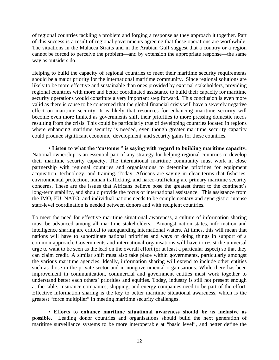of regional countries tackling a problem and forging a response as they approach it together. Part of this success is a result of regional governments agreeing that these operations are worthwhile. The situations in the Malacca Straits and in the Arabian Gulf suggest that a country or a region cannot be forced to perceive the problem—and by extension the appropriate response—the same way as outsiders do.

Helping to build the capacity of regional countries to meet their maritime security requirements should be a major priority for the international maritime community. Since regional solutions are likely to be more effective and sustainable than ones provided by external stakeholders, providing regional countries with more and better coordinated assistance to build their capacity for maritime security operations would constitute a very important step forward. This conclusion is even more valid as there is cause to be concerned that the global financial crisis will have a severely negative effect on maritime security. It is likely that resources for enhancing maritime security will become even more limited as governments shift their priorities to more pressing domestic needs resulting from the crisis. This could be particularly true of developing countries located in regions where enhancing maritime security is needed, even though greater maritime security capacity could produce significant economic, development, and security gains for these countries.

**▪ Listen to what the "customer" is saying with regard to building maritime capacity.**  National ownership is an essential part of any strategy for helping regional countries to develop their maritime security capacity. The international maritime community must work in close partnership with regional countries and organisations to determine priorities for equipment acquisition, technology, and training. Today, Africans are saying in clear terms that fisheries, environmental protection, human trafficking, and narco-trafficking are primary maritime security concerns. These are the issues that Africans believe pose the greatest threat to the continent's long-term stability, and should provide the focus of international assistance. This assistance from the IMO, EU, NATO, and individual nations needs to be complementary and synergistic; intense staff-level coordination is needed between donors and with recipient countries.

To meet the need for effective maritime situational awareness, a culture of information sharing must be advanced among all maritime stakeholders. Amongst nation states, information and intelligence sharing are critical to safeguarding international waters. At times, this will mean that nations will have to subordinate national priorities and ways of doing things in support of a common approach. Governments and international organisations will have to resist the universal urge to want to be seen as the lead on the overall effort (or at least a particular aspect) so that they can claim credit. A similar shift must also take place within governments, particularly amongst the various maritime agencies. Ideally, information sharing will extend to include other entities such as those in the private sector and in nongovernmental organisations. While there has been improvement in communication, commercial and government entities must work together to understand better each others' priorities and equities. Today, industry is still not present enough at the table. Insurance companies, shipping, and energy companies need to be part of the effort. Effective information sharing is the key to better maritime situational awareness, which is the greatest "force multiplier" in meeting maritime security challenges.

**▪ Efforts to enhance maritime situational awareness should be as inclusive as possible.** Leading donor countries and organisations should build the next generation of maritime surveillance systems to be more interoperable at "basic level", and better define the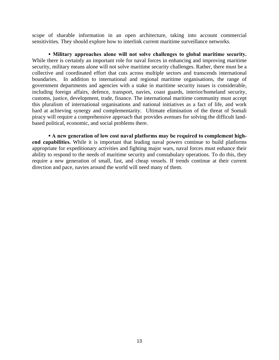scope of sharable information in an open architecture, taking into account commercial sensitivities. They should explore how to interlink current maritime surveillance networks.

**▪ Military approaches alone will not solve challenges to global maritime security.**  While there is certainly an important role for naval forces in enhancing and improving maritime security, military means alone will not solve maritime security challenges. Rather, there must be a collective and coordinated effort that cuts across multiple sectors and transcends international boundaries. In addition to international and regional maritime organisations, the range of government departments and agencies with a stake in maritime security issues is considerable, including foreign affairs, defence, transport, navies, coast guards, interior/homeland security, customs, justice, development, trade, finance. The international maritime community must accept this pluralism of international organisations and national initiatives as a fact of life, and work hard at achieving synergy and complementarity. Ultimate elimination of the threat of Somali piracy will require a comprehensive approach that provides avenues for solving the difficult landbased political, economic, and social problems there.

**EXECUTE: A new generation of low cost naval platforms may be required to complement highend capabilities.** While it is important that leading naval powers continue to build platforms appropriate for expeditionary activities and fighting major wars, naval forces must enhance their ability to respond to the needs of maritime security and constabulary operations. To do this, they require a new generation of small, fast, and cheap vessels. If trends continue at their current direction and pace, navies around the world will need many of them.